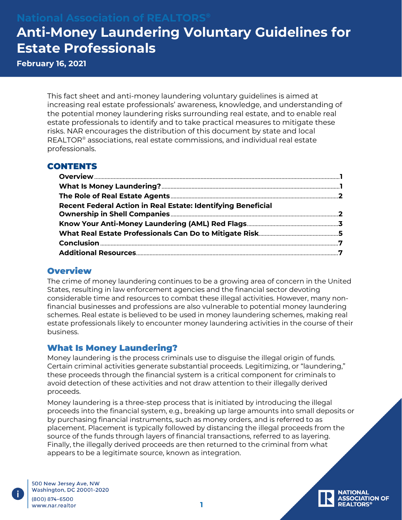## **Anti-Money Laundering Voluntary Guidelines for Estate Professionals**

**February 16, 2021**

This fact sheet and anti-money laundering voluntary guidelines is aimed at increasing real estate professionals' awareness, knowledge, and understanding of the potential money laundering risks surrounding real estate, and to enable real estate professionals to identify and to take practical measures to mitigate these risks. NAR encourages the distribution of this document by state and local REALTOR® associations, real estate commissions, and individual real estate professionals.

#### **CONTENTS**

| Recent Federal Action in Real Estate: Identifying Beneficial |  |
|--------------------------------------------------------------|--|
|                                                              |  |
|                                                              |  |
|                                                              |  |

### <span id="page-0-0"></span>**Overview**

The crime of money laundering continues to be a growing area of concern in the United States, resulting in law enforcement agencies and the financial sector devoting considerable time and resources to combat these illegal activities. However, many nonfinancial businesses and professions are also vulnerable to potential money laundering schemes. Real estate is believed to be used in money laundering schemes, making real estate professionals likely to encounter money laundering activities in the course of their business.

#### <span id="page-0-1"></span>What Is Money Laundering?

Money laundering is the process criminals use to disguise the illegal origin of funds. Certain criminal activities generate substantial proceeds. Legitimizing, or "laundering," these proceeds through the financial system is a critical component for criminals to avoid detection of these activities and not draw attention to their illegally derived proceeds.

Money laundering is a three-step process that is initiated by introducing the illegal proceeds into the financial system, e.g., breaking up large amounts into small deposits or by purchasing financial instruments, such as money orders, and is referred to as placement. Placement is typically followed by distancing the illegal proceeds from the source of the funds through layers of financial transactions, referred to as layering. Finally, the illegally derived proceeds are then returned to the criminal from what appears to be a legitimate source, known as integration.

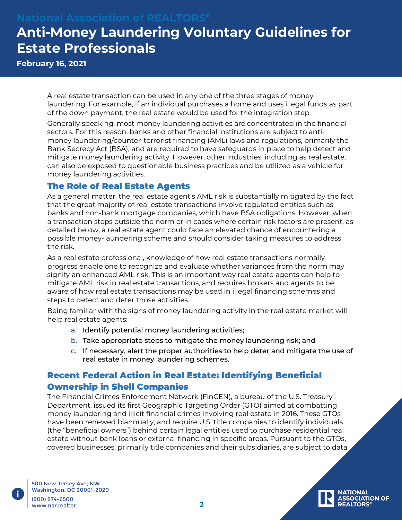# **Anti-Money Laundering Voluntary Guidelines for Estate Professionals**

**February 16, 2021**

A real estate transaction can be used in any one of the three stages of money laundering. For example, if an individual purchases a home and uses illegal funds as part of the down payment, the real estate would be used for the integration step.

Generally speaking, most money laundering activities are concentrated in the financial sectors. For this reason, banks and other financial institutions are subject to antimoney laundering/counter-terrorist financing (AML) laws and regulations, primarily the Bank Secrecy Act (BSA), and are required to have safeguards in place to help detect and mitigate money laundering activity. However, other industries, including as real estate, can also be exposed to questionable business practices and be utilized as a vehicle for money laundering activities.

#### <span id="page-1-0"></span>The Role of Real Estate Agents

As a general matter, the real estate agent's AML risk is substantially mitigated by the fact that the great majority of real estate transactions involve regulated entities such as banks and non-bank mortgage companies, which have BSA obligations. However, when a transaction steps outside the norm or in cases where certain risk factors are present, as detailed below, a real estate agent could face an elevated chance of encountering a possible money-laundering scheme and should consider taking measures to address the risk.

As a real estate professional, knowledge of how real estate transactions normally progress enable one to recognize and evaluate whether variances from the norm may signify an enhanced AML risk. This is an important way real estate agents can help to mitigate AML risk in real estate transactions, and requires brokers and agents to be aware of how real estate transactions may be used in illegal financing schemes and steps to detect and deter those activities.

Being familiar with the signs of money laundering activity in the real estate market will help real estate agents:

- a. Identify potential money laundering activities;
- b. Take appropriate steps to mitigate the money laundering risk; and
- c. If necessary, alert the proper authorities to help deter and mitigate the use of real estate in money laundering schemes.

### <span id="page-1-1"></span>Recent Federal Action in Real Estate: Identifying Beneficial Ownership in Shell Companies

The Financial Crimes Enforcement Network (FinCEN), a bureau of the U.S. Treasury Department, issued its first Geographic Targeting Order (GTO) aimed at combatting money laundering and illicit financial crimes involving real estate in 2016. These GTOs have been renewed biannually, and require U.S. title companies to identify individuals (the "beneficial owners") behind certain legal entities used to purchase residential real estate without bank loans or external financing in specific areas. Pursuant to the GTOs, covered businesses, primarily title companies and their subsidiaries, are subject to data

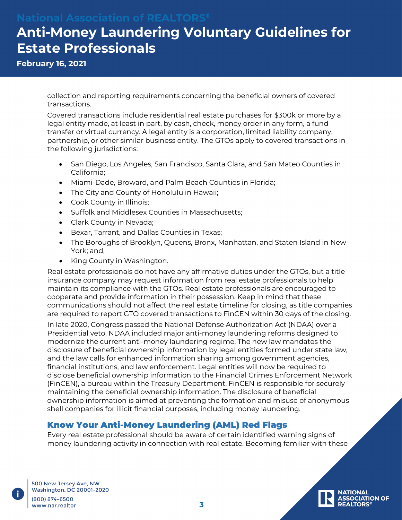# **Anti-Money Laundering Voluntary Guidelines for Estate Professionals**

**February 16, 2021**

collection and reporting requirements concerning the beneficial owners of covered transactions.

Covered transactions include residential real estate purchases for \$300k or more by a legal entity made, at least in part, by cash, check, money order in any form, a fund transfer or virtual currency. A legal entity is a corporation, limited liability company, partnership, or other similar business entity. The GTOs apply to covered transactions in the following jurisdictions:

- San Diego, Los Angeles, San Francisco, Santa Clara, and San Mateo Counties in California;
- Miami-Dade, Broward, and Palm Beach Counties in Florida;
- The City and County of Honolulu in Hawaii;
- Cook County in Illinois;
- Suffolk and Middlesex Counties in Massachusetts;
- Clark County in Nevada;
- Bexar, Tarrant, and Dallas Counties in Texas;
- The Boroughs of Brooklyn, Queens, Bronx, Manhattan, and Staten Island in New York; and,
- King County in Washington.

Real estate professionals do not have any affirmative duties under the GTOs, but a title insurance company may request information from real estate professionals to help maintain its compliance with the GTOs. Real estate professionals are encouraged to cooperate and provide information in their possession. Keep in mind that these communications should not affect the real estate timeline for closing, as title companies are required to report GTO covered transactions to FinCEN within 30 days of the closing.

In late 2020, Congress passed the National Defense Authorization Act (NDAA) over a Presidential veto. NDAA included major anti-money laundering reforms designed to modernize the current anti-money laundering regime. The new law mandates the disclosure of beneficial ownership information by legal entities formed under state law, and the law calls for enhanced information sharing among government agencies, financial institutions, and law enforcement. Legal entities will now be required to disclose beneficial ownership information to the Financial Crimes Enforcement Network (FinCEN), a bureau within the Treasury Department. FinCEN is responsible for securely maintaining the beneficial ownership information. The disclosure of beneficial ownership information is aimed at preventing the formation and misuse of anonymous shell companies for illicit financial purposes, including money laundering.

### <span id="page-2-0"></span>Know Your Anti-Money Laundering (AML) Red Flags

Every real estate professional should be aware of certain identified warning signs of money laundering activity in connection with real estate. Becoming familiar with these

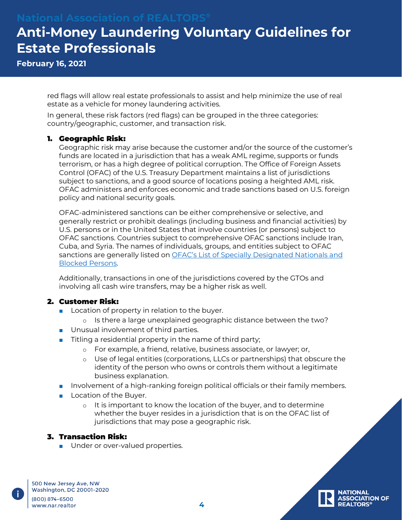# **Anti-Money Laundering Voluntary Guidelines for Estate Professionals**

**February 16, 2021**

red flags will allow real estate professionals to assist and help minimize the use of real estate as a vehicle for money laundering activities.

In general, these risk factors (red flags) can be grouped in the three categories: country/geographic, customer, and transaction risk.

#### 1. Geographic Risk:

Geographic risk may arise because the customer and/or the source of the customer's funds are located in a jurisdiction that has a weak AML regime, supports or funds terrorism, or has a high degree of political corruption. The Office of Foreign Assets Control (OFAC) of the U.S. Treasury Department maintains a list of jurisdictions subject to sanctions, and a good source of locations posing a heighted AML risk. OFAC administers and enforces economic and trade sanctions based on U.S. foreign policy and national security goals.

OFAC-administered sanctions can be either comprehensive or selective, and generally restrict or prohibit dealings (including business and financial activities) by U.S. persons or in the United States that involve countries (or persons) subject to OFAC sanctions. Countries subject to comprehensive OFAC sanctions include Iran, Cuba, and Syria. The names of individuals, groups, and entities subject to OFAC sanctions are generally listed on **OFAC's List of Specially Designated Nationals** and [Blocked Persons.](https://home.treasury.gov/policy-issues/financial-sanctions/specially-designated-nationals-and-blocked-persons-list-sdn-human-readable-lists)

Additionally, transactions in one of the jurisdictions covered by the GTOs and involving all cash wire transfers, may be a higher risk as well.

#### 2. Customer Risk:

- Location of property in relation to the buyer.
	- o Is there a large unexplained geographic distance between the two?
- Unusual involvement of third parties.
- Titling a residential property in the name of third party;
	- o For example, a friend, relative, business associate, or lawyer; or,
	- o Use of legal entities (corporations, LLCs or partnerships) that obscure the identity of the person who owns or controls them without a legitimate business explanation.
- Involvement of a high-ranking foreign political officials or their family members.
- Location of the Buyer.
	- o It is important to know the location of the buyer, and to determine whether the buyer resides in a jurisdiction that is on the OFAC list of jurisdictions that may pose a geographic risk.

#### 3. Transaction Risk:

■ Under or over-valued properties.

500 New Jersey Ave, NW Washington, DC 20001-2020 (800) 874-6500 www.nar.realtor

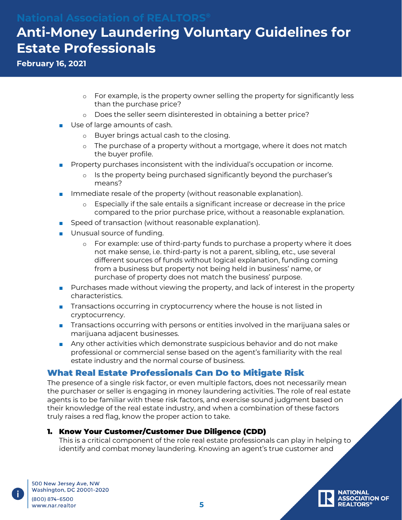# **Anti-Money Laundering Voluntary Guidelines for Estate Professionals**

**February 16, 2021**

- o For example, is the property owner selling the property for significantly less than the purchase price?
- o Does the seller seem disinterested in obtaining a better price?
- Use of large amounts of cash.
	- o Buyer brings actual cash to the closing.
	- o The purchase of a property without a mortgage, where it does not match the buyer profile.
- Property purchases inconsistent with the individual's occupation or income.
	- Is the property being purchased significantly beyond the purchaser's means?
- Immediate resale of the property (without reasonable explanation).
	- o Especially if the sale entails a significant increase or decrease in the price compared to the prior purchase price, without a reasonable explanation.
- Speed of transaction (without reasonable explanation).
- Unusual source of funding.
	- o For example: use of third-party funds to purchase a property where it does not make sense, i.e. third-party is not a parent, sibling, etc., use several different sources of funds without logical explanation, funding coming from a business but property not being held in business' name, or purchase of property does not match the business' purpose.
- Purchases made without viewing the property, and lack of interest in the property characteristics.
- Transactions occurring in cryptocurrency where the house is not listed in cryptocurrency.
- Transactions occurring with persons or entities involved in the marijuana sales or marijuana adjacent businesses.
- Any other activities which demonstrate suspicious behavior and do not make professional or commercial sense based on the agent's familiarity with the real estate industry and the normal course of business.

### <span id="page-4-0"></span>What Real Estate Professionals Can Do to Mitigate Risk

The presence of a single risk factor, or even multiple factors, does not necessarily mean the purchaser or seller is engaging in money laundering activities. The role of real estate agents is to be familiar with these risk factors, and exercise sound judgment based on their knowledge of the real estate industry, and when a combination of these factors truly raises a red flag, know the proper action to take.

#### 1. Know Your Customer/Customer Due Diligence (CDD)

This is a critical component of the role real estate professionals can play in helping to identify and combat money laundering. Knowing an agent's true customer and

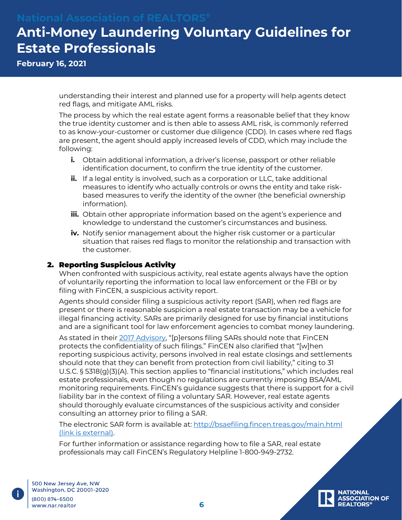# **Anti-Money Laundering Voluntary Guidelines for Estate Professionals**

**February 16, 2021**

understanding their interest and planned use for a property will help agents detect red flags, and mitigate AML risks.

The process by which the real estate agent forms a reasonable belief that they know the true identity customer and is then able to assess AML risk, is commonly referred to as know-your-customer or customer due diligence (CDD). In cases where red flags are present, the agent should apply increased levels of CDD, which may include the following:

- **i.** Obtain additional information, a driver's license, passport or other reliable identification document, to confirm the true identity of the customer.
- **ii.** If a legal entity is involved, such as a corporation or LLC, take additional measures to identify who actually controls or owns the entity and take riskbased measures to verify the identity of the owner (the beneficial ownership information).
- **iii.** Obtain other appropriate information based on the agent's experience and knowledge to understand the customer's circumstances and business.
- **iv.** Notify senior management about the higher risk customer or a particular situation that raises red flags to monitor the relationship and transaction with the customer.

#### 2. Reporting Suspicious Activity

When confronted with suspicious activity, real estate agents always have the option of voluntarily reporting the information to local law enforcement or the FBI or by filing with FinCEN, a suspicious activity report.

Agents should consider filing a suspicious activity report (SAR), when red flags are present or there is reasonable suspicion a real estate transaction may be a vehicle for illegal financing activity. SARs are primarily designed for use by financial institutions and are a significant tool for law enforcement agencies to combat money laundering.

As stated in their <u>2017 Advisory</u>, "[p]ersons filing SARs should note that FinCEN protects the confidentiality of such filings." FinCEN also clarified that "[w]hen reporting suspicious activity, persons involved in real estate closings and settlements should note that they can benefit from protection from civil liability," citing to 31 U.S.C. § 5318(g)(3)(A). This section applies to "financial institutions," which includes real estate professionals, even though no regulations are currently imposing BSA/AML monitoring requirements. FinCEN's guidance suggests that there is support for a civil liability bar in the context of filing a voluntary SAR. However, real estate agents should thoroughly evaluate circumstances of the suspicious activity and consider consulting an attorney prior to filing a SAR.

The electronic SAR form is available at:<http://bsaefiling.fincen.treas.gov/main.html> [\(link is external\).](http://bsaefiling.fincen.treas.gov/main.html)

For further information or assistance regarding how to file a SAR, real estate professionals may call FinCEN's Regulatory Helpline 1-800-949-2732.

500 New Jersey Ave, NW Washington, DC 20001-2020 (800) 874-6500 www.nar.realtor